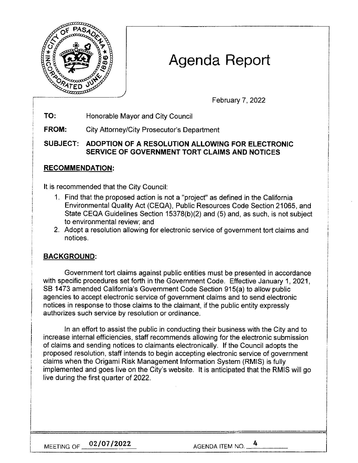

# **Agenda Report**

February 7, 2022

**TO:**  Honorable Mayor and City Council

**FROM:** City Attorney/City Prosecutor's Department

**SUBJECT: ADOPTION OF A RESOLUTION ALLOWING FOR ELECTRONIC SERVICE OF GOVERNMENT TORT CLAIMS AND NOTICES** 

## **RECOMMENDATION:**

It is recommended that the City Council:

- 1. Find that the proposed action is not a "project" as defined in the California Environmental Quality Act (CEQA), Public Resources Code Section 21065, and State CEQA Guidelines Section 15378(b)(2) and (5) and, as such, is not subject to environmental review; and
- 2. Adopt a resolution allowing for electronic service of government tort claims and notices.

## **BACKGROUND:**

Government tort claims against public entities must be presented in accordance with specific procedures set forth in the Government Code. Effective January 1, 2021, SB 1473 amended California's Government Code Section 915(a) to allow public agencies to accept electronic service of government claims and to send electronic notices in response to those claims to the claimant, if the public entity expressly authorizes such service by resolution or ordinance.

In an effort to assist the public in conducting their business with the City and to increase internal efficiencies, staff recommends allowing for the electronic submission of claims and sending notices to claimants electronically. If the Council adopts the proposed resolution, staff intends to begin accepting electronic service of government claims when the Origami Risk Management Information System (RMIS) is fully implemented and goes live on the City's website. It is anticipated that the RMIS will go live during the first quarter of 2022.